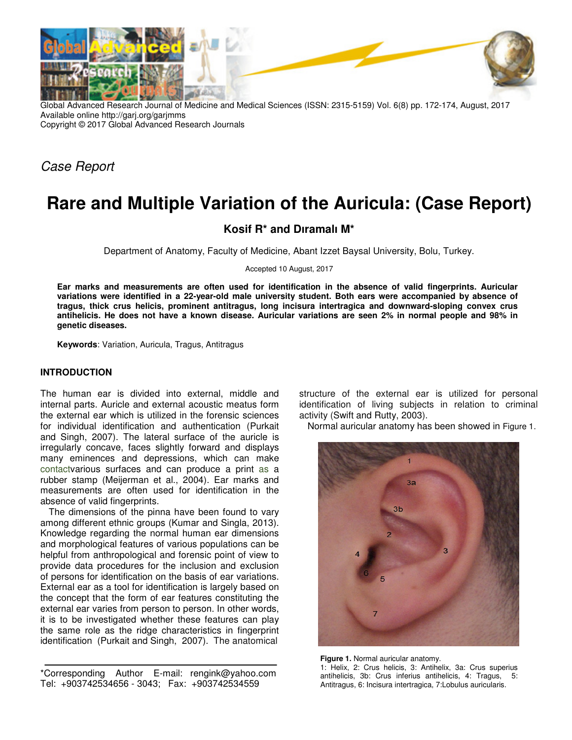

Global Advanced Research Journal of Medicine and Medical Sciences (ISSN: 2315-5159) Vol. 6(8) pp. 172-174, August, 2017 Available online http://garj.org/garjmms Copyright © 2017 Global Advanced Research Journals

Case Report

# **Rare and Multiple Variation of the Auricula: (Case Report)**

# **Kosif R\* and Dıramalı M\***

Department of Anatomy, Faculty of Medicine, Abant Izzet Baysal University, Bolu, Turkey.

Accepted 10 August, 2017

**Ear marks and measurements are often used for identification in the absence of valid fingerprints. Auricular variations were identified in a 22-year-old male university student. Both ears were accompanied by absence of tragus, thick crus helicis, prominent antitragus, long incisura intertragica and downward-sloping convex crus antihelicis. He does not have a known disease. Auricular variations are seen 2% in normal people and 98% in genetic diseases.** 

**Keywords**: Variation, Auricula, Tragus, Antitragus

## **INTRODUCTION**

The human ear is divided into external, middle and internal parts. Auricle and external acoustic meatus form the external ear which is utilized in the forensic sciences for individual identification and authentication (Purkait and Singh, 2007). The lateral surface of the auricle is irregularly concave, faces slightly forward and displays many eminences and depressions, which can make contactvarious surfaces and can produce a print as a rubber stamp (Meijerman et al., 2004). Ear marks and measurements are often used for identification in the absence of valid fingerprints.

The dimensions of the pinna have been found to vary among different ethnic groups (Kumar and Singla, 2013). Knowledge regarding the normal human ear dimensions and morphological features of various populations can be helpful from anthropological and forensic point of view to provide data procedures for the inclusion and exclusion of persons for identification on the basis of ear variations. External ear as a tool for identification is largely based on the concept that the form of ear features constituting the external ear varies from person to person. In other words, it is to be investigated whether these features can play the same role as the ridge characteristics in fingerprint identification (Purkait and Singh, 2007). The anatomical

\*Corresponding Author E-mail: rengink@yahoo.com Tel: +903742534656 - 3043; Fax: +903742534559

structure of the external ear is utilized for personal identification of living subjects in relation to criminal activity (Swift and Rutty, 2003).

Normal auricular anatomy has been showed in Figure 1.



**Figure 1.** Normal auricular anatomy. 1: Helix, 2: Crus helicis, 3: Antihelix, 3a: Crus superius antihelicis, 3b: Crus inferius antihelicis, 4: Tragus, 5: Antitragus, 6: Incisura intertragica, 7:Lobulus auricularis.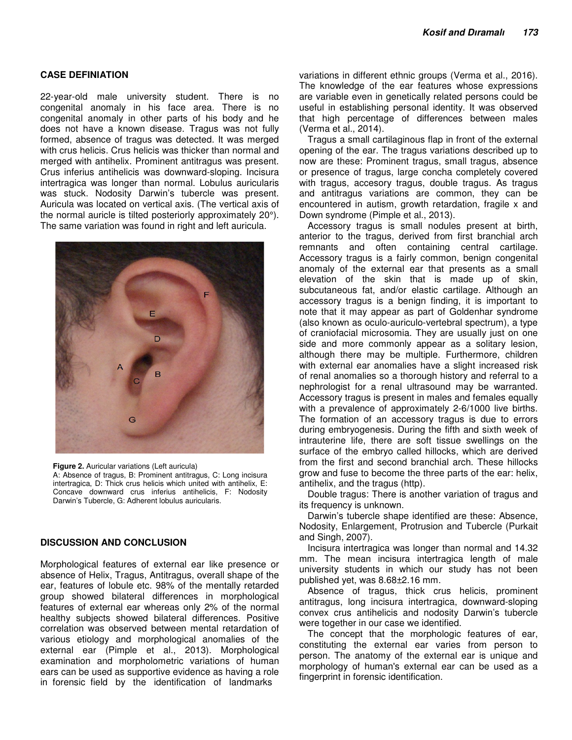### **CASE DEFINIATION**

22-year-old male university student. There is no congenital anomaly in his face area. There is no congenital anomaly in other parts of his body and he does not have a known disease. Tragus was not fully formed, absence of tragus was detected. It was merged with crus helicis. Crus helicis was thicker than normal and merged with antihelix. Prominent antitragus was present. Crus inferius antihelicis was downward-sloping. Incisura intertragica was longer than normal. Lobulus auricularis was stuck. Nodosity Darwin's tubercle was present. Auricula was located on vertical axis. (The vertical axis of the normal auricle is tilted posteriorly approximately 20°). The same variation was found in right and left auricula.



**Figure 2.** Auricular variations (Left auricula)

A: Absence of tragus, B: Prominent antitragus, C: Long incisura intertragica, D: Thick crus helicis which united with antihelix, E: Concave downward crus inferius antihelicis, F: Nodosity Darwin's Tubercle, G: Adherent lobulus auricularis.

#### **DISCUSSION AND CONCLUSION**

Morphological features of external ear like presence or absence of Helix, Tragus, Antitragus, overall shape of the ear, features of lobule etc. 98% of the mentally retarded group showed bilateral differences in morphological features of external ear whereas only 2% of the normal healthy subjects showed bilateral differences. Positive correlation was observed between mental retardation of various etiology and morphological anomalies of the external ear (Pimple et al., 2013). Morphological examination and morpholometric variations of human ears can be used as supportive evidence as having a role in forensic field by the identification of landmarks

variations in different ethnic groups (Verma et al., 2016). The knowledge of the ear features whose expressions are variable even in genetically related persons could be useful in establishing personal identity. It was observed that high percentage of differences between males (Verma et al., 2014).

Tragus a small cartilaginous flap in front of the external opening of the ear. The tragus variations described up to now are these: Prominent tragus, small tragus, absence or presence of tragus, large concha completely covered with tragus, accesory tragus, double tragus. As tragus and antitragus variations are common, they can be encountered in autism, growth retardation, fragile x and Down syndrome (Pimple et al., 2013).

Accessory tragus is small nodules present at birth, anterior to the tragus, derived from first branchial arch remnants and often containing central cartilage. Accessory tragus is a fairly common, benign congenital anomaly of the external ear that presents as a small elevation of the skin that is made up of skin, subcutaneous fat, and/or elastic cartilage. Although an accessory tragus is a benign finding, it is important to note that it may appear as part of Goldenhar syndrome (also known as oculo-auriculo-vertebral spectrum), a type of craniofacial microsomia. They are usually just on one side and more commonly appear as a solitary lesion, although there may be multiple. Furthermore, children with external ear anomalies have a slight increased risk of renal anomalies so a thorough history and referral to a nephrologist for a renal ultrasound may be warranted. Accessory tragus is present in males and females equally with a prevalence of approximately 2-6/1000 live births. The formation of an accessory tragus is due to errors during embryogenesis. During the fifth and sixth week of intrauterine life, there are soft tissue swellings on the surface of the embryo called hillocks, which are derived from the first and second branchial arch. These hillocks grow and fuse to become the three parts of the ear: helix, antihelix, and the tragus (http).

Double tragus: There is another variation of tragus and its frequency is unknown.

Darwin's tubercle shape identified are these: Absence, Nodosity, Enlargement, Protrusion and Tubercle (Purkait and Singh, 2007).

Incisura intertragica was longer than normal and 14.32 mm. The mean incisura intertragica length of male university students in which our study has not been published yet, was 8.68±2.16 mm.

Absence of tragus, thick crus helicis, prominent antitragus, long incisura intertragica, downward-sloping convex crus antihelicis and nodosity Darwin's tubercle were together in our case we identified.

The concept that the morphologic features of ear, constituting the external ear varies from person to person. The anatomy of the external ear is unique and morphology of human's external ear can be used as a fingerprint in forensic identification.